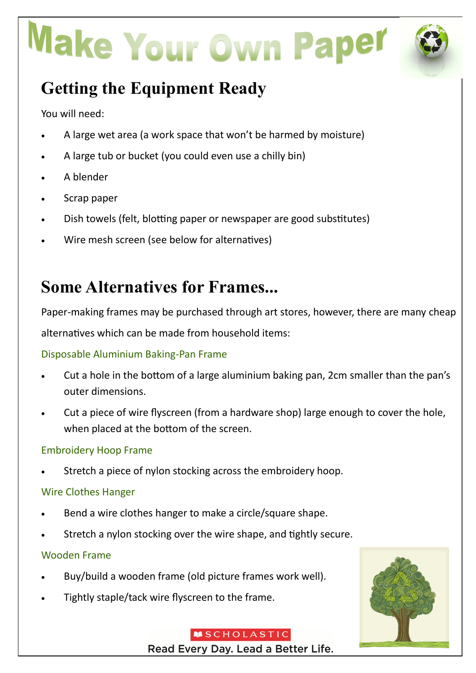# Make Your Own Paper



# **Getting the Equipment Ready**

You will need:

- A large wet area (a work space that won't be harmed by moisture)
- A large tub or bucket (you could even use a chilly bin)
- A blender
- Scrap paper
- Dish towels (felt, blotting paper or newspaper are good substitutes)
- Wire mesh screen (see below for alternatives)

### **Some Alternatives for Frames...**

Paper-making frames may be purchased through art stores, however, there are many cheap alternatives which can be made from household items:

### Disposable Aluminium Baking-Pan Frame

- Cut a hole in the bottom of a large aluminium baking pan, 2cm smaller than the pan's outer dimensions.
- Cut a piece of wire flyscreen (from a hardware shop) large enough to cover the hole, when placed at the bottom of the screen.

### Embroidery Hoop Frame

Stretch a piece of nylon stocking across the embroidery hoop.

### Wire Clothes Hanger

- Bend a wire clothes hanger to make a circle/square shape.
- Stretch a nylon stocking over the wire shape, and tightly secure.

### Wooden Frame

- Buy/build a wooden frame (old picture frames work well).
- Tightly staple/tack wire flyscreen to the frame.



#### **MSCHOLASTIC** Read Every Day. Lead a Better Life.